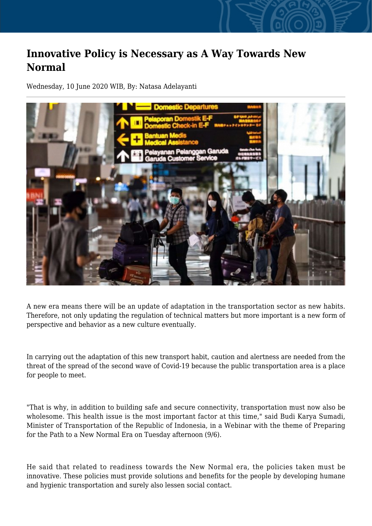## **Innovative Policy is Necessary as A Way Towards New Normal**

Wednesday, 10 June 2020 WIB, By: Natasa Adelayanti



A new era means there will be an update of adaptation in the transportation sector as new habits. Therefore, not only updating the regulation of technical matters but more important is a new form of perspective and behavior as a new culture eventually.

In carrying out the adaptation of this new transport habit, caution and alertness are needed from the threat of the spread of the second wave of Covid-19 because the public transportation area is a place for people to meet.

"That is why, in addition to building safe and secure connectivity, transportation must now also be wholesome. This health issue is the most important factor at this time," said Budi Karya Sumadi, Minister of Transportation of the Republic of Indonesia, in a Webinar with the theme of Preparing for the Path to a New Normal Era on Tuesday afternoon (9/6).

He said that related to readiness towards the New Normal era, the policies taken must be innovative. These policies must provide solutions and benefits for the people by developing humane and hygienic transportation and surely also lessen social contact.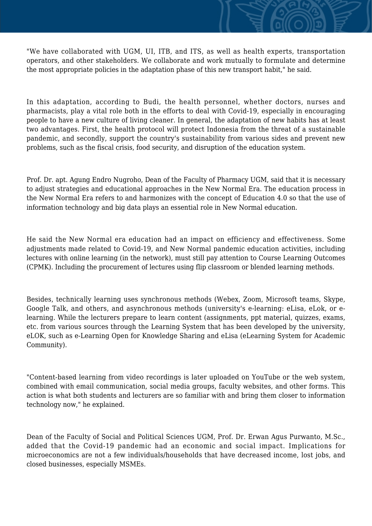"We have collaborated with UGM, UI, ITB, and ITS, as well as health experts, transportation operators, and other stakeholders. We collaborate and work mutually to formulate and determine the most appropriate policies in the adaptation phase of this new transport habit," he said.

In this adaptation, according to Budi, the health personnel, whether doctors, nurses and pharmacists, play a vital role both in the efforts to deal with Covid-19, especially in encouraging people to have a new culture of living cleaner. In general, the adaptation of new habits has at least two advantages. First, the health protocol will protect Indonesia from the threat of a sustainable pandemic, and secondly, support the country's sustainability from various sides and prevent new problems, such as the fiscal crisis, food security, and disruption of the education system.

Prof. Dr. apt. Agung Endro Nugroho, Dean of the Faculty of Pharmacy UGM, said that it is necessary to adjust strategies and educational approaches in the New Normal Era. The education process in the New Normal Era refers to and harmonizes with the concept of Education 4.0 so that the use of information technology and big data plays an essential role in New Normal education.

He said the New Normal era education had an impact on efficiency and effectiveness. Some adjustments made related to Covid-19, and New Normal pandemic education activities, including lectures with online learning (in the network), must still pay attention to Course Learning Outcomes (CPMK). Including the procurement of lectures using flip classroom or blended learning methods.

Besides, technically learning uses synchronous methods (Webex, Zoom, Microsoft teams, Skype, Google Talk, and others, and asynchronous methods (university's e-learning: eLisa, eLok, or elearning. While the lecturers prepare to learn content (assignments, ppt material, quizzes, exams, etc. from various sources through the Learning System that has been developed by the university, eLOK, such as e-Learning Open for Knowledge Sharing and eLisa (eLearning System for Academic Community).

"Content-based learning from video recordings is later uploaded on YouTube or the web system, combined with email communication, social media groups, faculty websites, and other forms. This action is what both students and lecturers are so familiar with and bring them closer to information technology now," he explained.

Dean of the Faculty of Social and Political Sciences UGM, Prof. Dr. Erwan Agus Purwanto, M.Sc., added that the Covid-19 pandemic had an economic and social impact. Implications for microeconomics are not a few individuals/households that have decreased income, lost jobs, and closed businesses, especially MSMEs.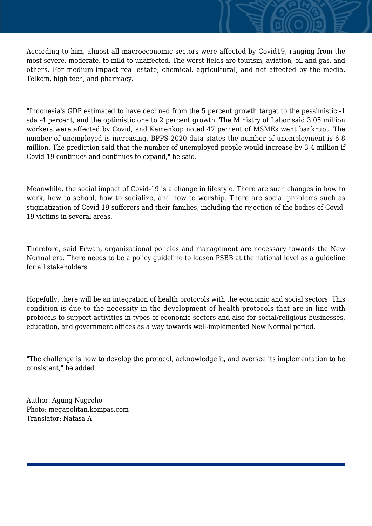According to him, almost all macroeconomic sectors were affected by Covid19, ranging from the most severe, moderate, to mild to unaffected. The worst fields are tourism, aviation, oil and gas, and others. For medium-impact real estate, chemical, agricultural, and not affected by the media, Telkom, high tech, and pharmacy.

"Indonesia's GDP estimated to have declined from the 5 percent growth target to the pessimistic -1 sda -4 percent, and the optimistic one to 2 percent growth. The Ministry of Labor said 3.05 million workers were affected by Covid, and Kemenkop noted 47 percent of MSMEs went bankrupt. The number of unemployed is increasing. BPPS 2020 data states the number of unemployment is 6.8 million. The prediction said that the number of unemployed people would increase by 3-4 million if Covid-19 continues and continues to expand," he said.

Meanwhile, the social impact of Covid-19 is a change in lifestyle. There are such changes in how to work, how to school, how to socialize, and how to worship. There are social problems such as stigmatization of Covid-19 sufferers and their families, including the rejection of the bodies of Covid-19 victims in several areas.

Therefore, said Erwan, organizational policies and management are necessary towards the New Normal era. There needs to be a policy guideline to loosen PSBB at the national level as a guideline for all stakeholders.

Hopefully, there will be an integration of health protocols with the economic and social sectors. This condition is due to the necessity in the development of health protocols that are in line with protocols to support activities in types of economic sectors and also for social/religious businesses, education, and government offices as a way towards well-implemented New Normal period.

"The challenge is how to develop the protocol, acknowledge it, and oversee its implementation to be consistent," he added.

Author: Agung Nugroho Photo: megapolitan.kompas.com Translator: Natasa A